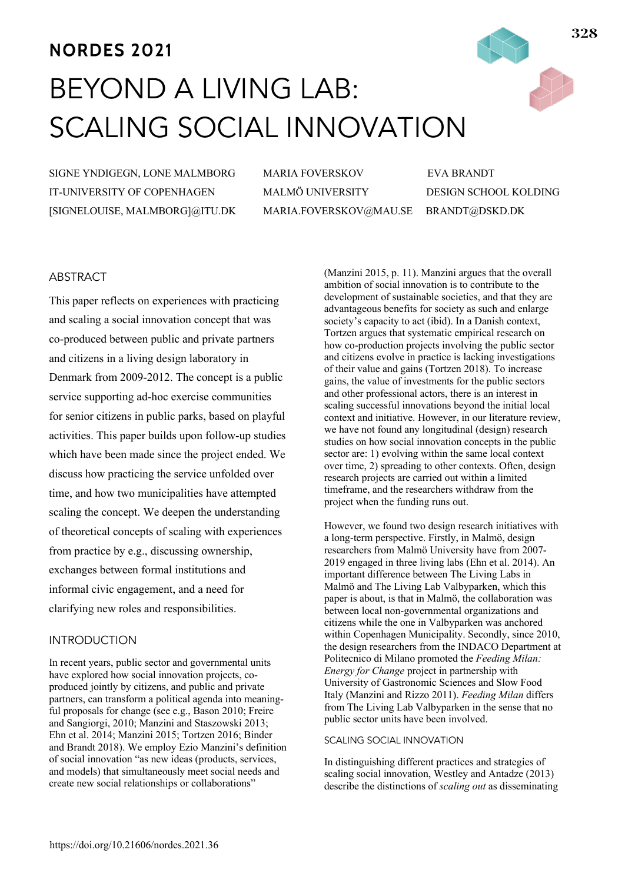# **NORDES 2021** BEYOND A LIVING LAB: SCALING SOCIAL INNOVATION

SIGNE YNDIGEGN, LONE MALMBORG IT-UNIVERSITY OF COPENHAGEN [SIGNELOUISE, MALMBORG]@ITU.DK MARIA FOVERSKOV EVA BRANDT MALMÖ UNIVERSITY DESIGN SCHOOL KOLDING MARIA.FOVERSKOV@MAU.SE BRANDT@DSKD.DK

# ABSTRACT

This paper reflects on experiences with practicing and scaling a social innovation concept that was co-produced between public and private partners and citizens in a living design laboratory in Denmark from 2009-2012. The concept is a public service supporting ad-hoc exercise communities for senior citizens in public parks, based on playful activities. This paper builds upon follow-up studies which have been made since the project ended. We discuss how practicing the service unfolded over time, and how two municipalities have attempted scaling the concept. We deepen the understanding of theoretical concepts of scaling with experiences from practice by e.g., discussing ownership, exchanges between formal institutions and informal civic engagement, and a need for clarifying new roles and responsibilities.

## INTRODUCTION

In recent years, public sector and governmental units have explored how social innovation projects, coproduced jointly by citizens, and public and private partners, can transform a political agenda into meaningful proposals for change (see e.g., Bason 2010; Freire and Sangiorgi, 2010; Manzini and Staszowski 2013; Ehn et al. 2014; Manzini 2015; Tortzen 2016; Binder and Brandt 2018). We employ Ezio Manzini's definition of social innovation "as new ideas (products, services, and models) that simultaneously meet social needs and create new social relationships or collaborations"

(Manzini 2015, p. 11). Manzini argues that the overall ambition of social innovation is to contribute to the development of sustainable societies, and that they are advantageous benefits for society as such and enlarge society's capacity to act (ibid). In a Danish context, Tortzen argues that systematic empirical research on how co-production projects involving the public sector and citizens evolve in practice is lacking investigations of their value and gains (Tortzen 2018). To increase gains, the value of investments for the public sectors and other professional actors, there is an interest in scaling successful innovations beyond the initial local context and initiative. However, in our literature review, we have not found any longitudinal (design) research studies on how social innovation concepts in the public sector are: 1) evolving within the same local context over time, 2) spreading to other contexts. Often, design research projects are carried out within a limited timeframe, and the researchers withdraw from the project when the funding runs out.

However, we found two design research initiatives with a long-term perspective. Firstly, in Malmö, design researchers from Malmö University have from 2007- 2019 engaged in three living labs (Ehn et al. 2014). An important difference between The Living Labs in Malmö and The Living Lab Valbyparken, which this paper is about, is that in Malmö, the collaboration was between local non-governmental organizations and citizens while the one in Valbyparken was anchored within Copenhagen Municipality. Secondly, since 2010, the design researchers from the INDACO Department at Politecnico di Milano promoted the *Feeding Milan: Energy for Change* project in partnership with University of Gastronomic Sciences and Slow Food Italy (Manzini and Rizzo 2011). *Feeding Milan* differs from The Living Lab Valbyparken in the sense that no public sector units have been involved.

## SCALING SOCIAL INNOVATION

In distinguishing different practices and strategies of scaling social innovation, Westley and Antadze (2013) describe the distinctions of *scaling out* as disseminating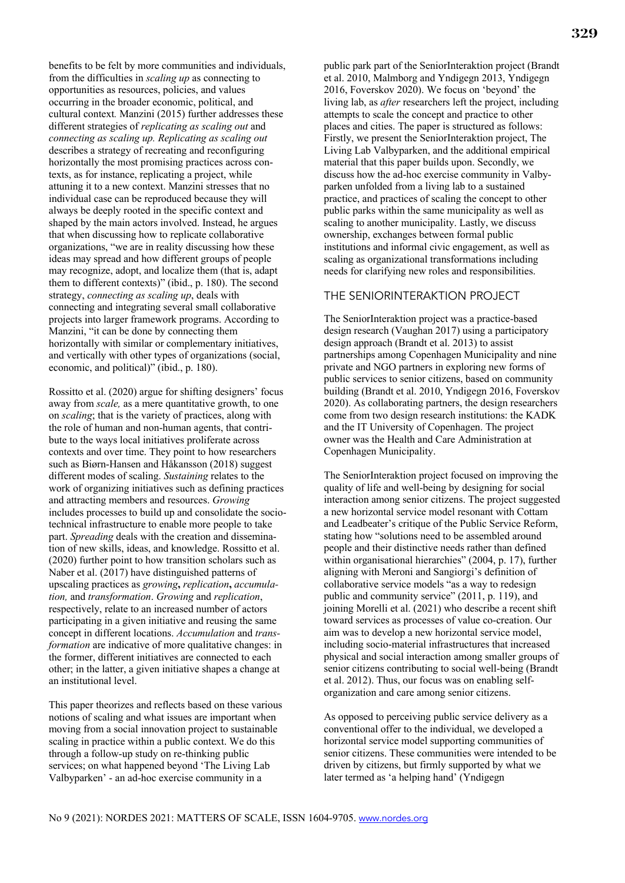benefits to be felt by more communities and individuals, from the difficulties in *scaling up* as connecting to opportunities as resources, policies, and values occurring in the broader economic, political, and cultural context*.* Manzini (2015) further addresses these different strategies of *replicating as scaling out* and *connecting as scaling up. Replicating as scaling out* describes a strategy of recreating and reconfiguring horizontally the most promising practices across contexts, as for instance, replicating a project, while attuning it to a new context. Manzini stresses that no individual case can be reproduced because they will always be deeply rooted in the specific context and shaped by the main actors involved. Instead, he argues that when discussing how to replicate collaborative organizations, "we are in reality discussing how these ideas may spread and how different groups of people may recognize, adopt, and localize them (that is, adapt them to different contexts)" (ibid., p. 180). The second strategy, *connecting as scaling up*, deals with connecting and integrating several small collaborative projects into larger framework programs. According to Manzini, "it can be done by connecting them horizontally with similar or complementary initiatives, and vertically with other types of organizations (social, economic, and political)" (ibid., p. 180).

Rossitto et al. (2020) argue for shifting designers' focus away from *scale,* as a mere quantitative growth, to one on *scaling*; that is the variety of practices, along with the role of human and non-human agents, that contribute to the ways local initiatives proliferate across contexts and over time. They point to how researchers such as Biørn-Hansen and Håkansson (2018) suggest different modes of scaling. *Sustaining* relates to the work of organizing initiatives such as defining practices and attracting members and resources. *Growing* includes processes to build up and consolidate the sociotechnical infrastructure to enable more people to take part. *Spreading* deals with the creation and dissemination of new skills, ideas, and knowledge. Rossitto et al. (2020) further point to how transition scholars such as Naber et al. (2017) have distinguished patterns of upscaling practices as *growing***,** *replication***,** *accumulation,* and *transformation*. *Growing* and *replication*, respectively, relate to an increased number of actors participating in a given initiative and reusing the same concept in different locations. *Accumulation* and *transformation* are indicative of more qualitative changes: in the former, different initiatives are connected to each other; in the latter, a given initiative shapes a change at an institutional level.

This paper theorizes and reflects based on these various notions of scaling and what issues are important when moving from a social innovation project to sustainable scaling in practice within a public context. We do this through a follow-up study on re-thinking public services; on what happened beyond 'The Living Lab Valbyparken' - an ad-hoc exercise community in a

public park part of the SeniorInteraktion project (Brandt et al. 2010, Malmborg and Yndigegn 2013, Yndigegn 2016, Foverskov 2020). We focus on 'beyond' the living lab, as *after* researchers left the project, including attempts to scale the concept and practice to other places and cities. The paper is structured as follows: Firstly, we present the SeniorInteraktion project, The Living Lab Valbyparken, and the additional empirical material that this paper builds upon. Secondly, we discuss how the ad-hoc exercise community in Valbyparken unfolded from a living lab to a sustained practice, and practices of scaling the concept to other public parks within the same municipality as well as scaling to another municipality. Lastly, we discuss ownership, exchanges between formal public institutions and informal civic engagement, as well as scaling as organizational transformations including needs for clarifying new roles and responsibilities.

## THE SENIORINTERAKTION PROJECT

The SeniorInteraktion project was a practice-based design research (Vaughan 2017) using a participatory design approach (Brandt et al. 2013) to assist partnerships among Copenhagen Municipality and nine private and NGO partners in exploring new forms of public services to senior citizens, based on community building (Brandt et al. 2010, Yndigegn 2016, Foverskov 2020). As collaborating partners, the design researchers come from two design research institutions: the KADK and the IT University of Copenhagen. The project owner was the Health and Care Administration at Copenhagen Municipality.

The SeniorInteraktion project focused on improving the quality of life and well-being by designing for social interaction among senior citizens. The project suggested a new horizontal service model resonant with Cottam and Leadbeater's critique of the Public Service Reform, stating how "solutions need to be assembled around people and their distinctive needs rather than defined within organisational hierarchies" (2004, p. 17), further aligning with Meroni and Sangiorgi's definition of collaborative service models "as a way to redesign public and community service" (2011, p. 119), and joining Morelli et al. (2021) who describe a recent shift toward services as processes of value co-creation. Our aim was to develop a new horizontal service model, including socio-material infrastructures that increased physical and social interaction among smaller groups of senior citizens contributing to social well-being (Brandt et al. 2012). Thus, our focus was on enabling selforganization and care among senior citizens.

As opposed to perceiving public service delivery as a conventional offer to the individual, we developed a horizontal service model supporting communities of senior citizens. These communities were intended to be driven by citizens, but firmly supported by what we later termed as 'a helping hand' (Yndigegn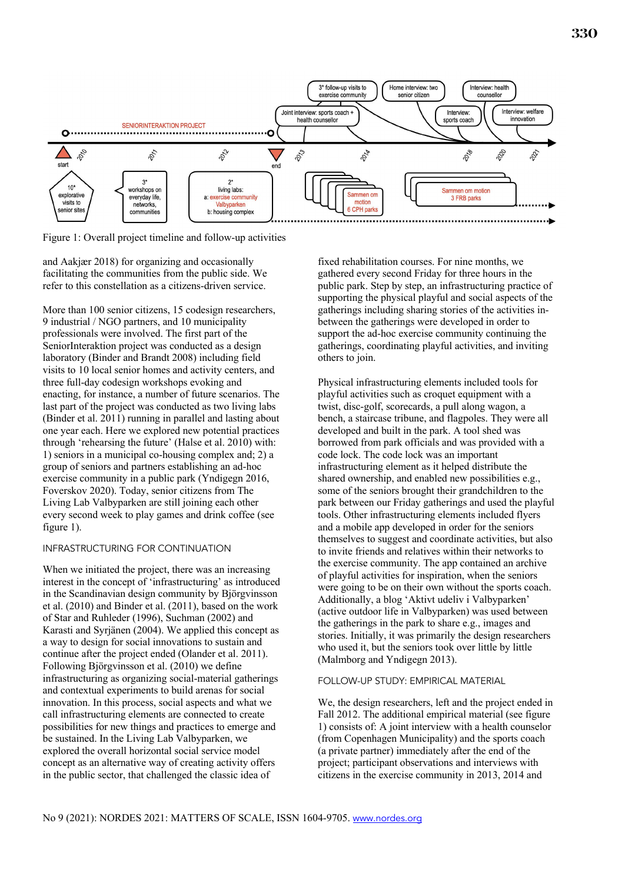

Figure 1: Overall project timeline and follow-up activities

and Aakjær 2018) for organizing and occasionally facilitating the communities from the public side. We refer to this constellation as a citizens-driven service.

More than 100 senior citizens, 15 codesign researchers, 9 industrial / NGO partners, and 10 municipality professionals were involved. The first part of the SeniorInteraktion project was conducted as a design laboratory (Binder and Brandt 2008) including field visits to 10 local senior homes and activity centers, and three full-day codesign workshops evoking and enacting, for instance, a number of future scenarios. The last part of the project was conducted as two living labs (Binder et al. 2011) running in parallel and lasting about one year each. Here we explored new potential practices through 'rehearsing the future' (Halse et al. 2010) with: 1) seniors in a municipal co-housing complex and; 2) a group of seniors and partners establishing an ad-hoc exercise community in a public park (Yndigegn 2016, Foverskov 2020). Today, senior citizens from The Living Lab Valbyparken are still joining each other every second week to play games and drink coffee (see figure 1).

#### INFRASTRUCTURING FOR CONTINUATION

When we initiated the project, there was an increasing interest in the concept of 'infrastructuring' as introduced in the Scandinavian design community by Björgvinsson et al. (2010) and Binder et al. (2011), based on the work of Star and Ruhleder (1996), Suchman (2002) and Karasti and Syrjänen (2004). We applied this concept as a way to design for social innovations to sustain and continue after the project ended (Olander et al. 2011). Following Björgvinsson et al. (2010) we define infrastructuring as organizing social-material gatherings and contextual experiments to build arenas for social innovation. In this process, social aspects and what we call infrastructuring elements are connected to create possibilities for new things and practices to emerge and be sustained. In the Living Lab Valbyparken, we explored the overall horizontal social service model concept as an alternative way of creating activity offers in the public sector, that challenged the classic idea of

fixed rehabilitation courses. For nine months, we gathered every second Friday for three hours in the public park. Step by step, an infrastructuring practice of supporting the physical playful and social aspects of the gatherings including sharing stories of the activities inbetween the gatherings were developed in order to support the ad-hoc exercise community continuing the gatherings, coordinating playful activities, and inviting others to join.

Physical infrastructuring elements included tools for playful activities such as croquet equipment with a twist, disc-golf, scorecards, a pull along wagon, a bench, a staircase tribune, and flagpoles. They were all developed and built in the park. A tool shed was borrowed from park officials and was provided with a code lock. The code lock was an important infrastructuring element as it helped distribute the shared ownership, and enabled new possibilities e.g., some of the seniors brought their grandchildren to the park between our Friday gatherings and used the playful tools. Other infrastructuring elements included flyers and a mobile app developed in order for the seniors themselves to suggest and coordinate activities, but also to invite friends and relatives within their networks to the exercise community. The app contained an archive of playful activities for inspiration, when the seniors were going to be on their own without the sports coach. Additionally, a blog 'Aktivt udeliv i Valbyparken' (active outdoor life in Valbyparken) was used between the gatherings in the park to share e.g., images and stories. Initially, it was primarily the design researchers who used it, but the seniors took over little by little (Malmborg and Yndigegn 2013).

#### FOLLOW-UP STUDY: EMPIRICAL MATERIAL

We, the design researchers, left and the project ended in Fall 2012. The additional empirical material (see figure 1) consists of: A joint interview with a health counselor (from Copenhagen Municipality) and the sports coach (a private partner) immediately after the end of the project; participant observations and interviews with citizens in the exercise community in 2013, 2014 and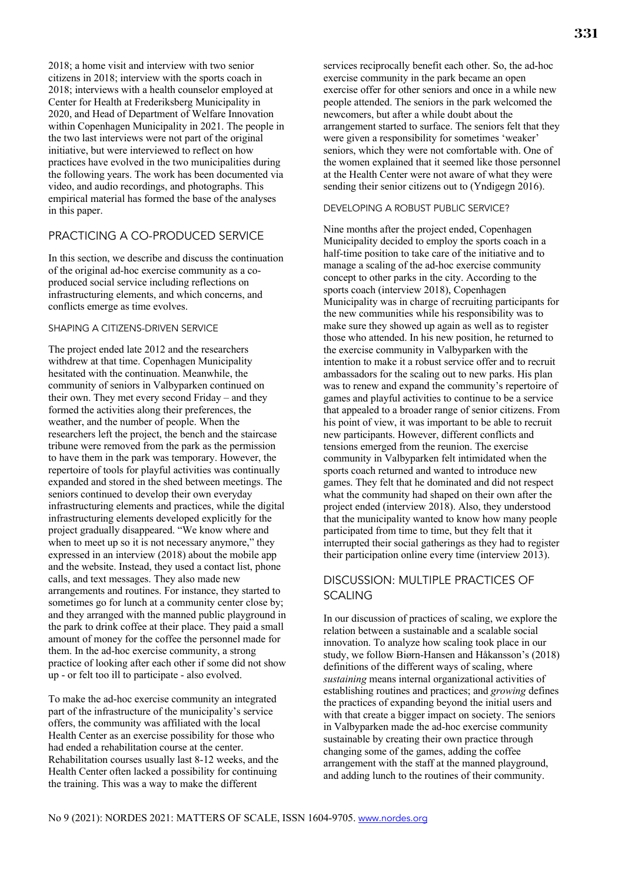2018; a home visit and interview with two senior citizens in 2018; interview with the sports coach in 2018; interviews with a health counselor employed at Center for Health at Frederiksberg Municipality in 2020, and Head of Department of Welfare Innovation within Copenhagen Municipality in 2021. The people in the two last interviews were not part of the original initiative, but were interviewed to reflect on how practices have evolved in the two municipalities during the following years. The work has been documented via video, and audio recordings, and photographs. This empirical material has formed the base of the analyses in this paper.

## PRACTICING A CO-PRODUCED SERVICE

In this section, we describe and discuss the continuation of the original ad-hoc exercise community as a coproduced social service including reflections on infrastructuring elements, and which concerns, and conflicts emerge as time evolves.

## SHAPING A CITIZENS-DRIVEN SERVICE

The project ended late 2012 and the researchers withdrew at that time. Copenhagen Municipality hesitated with the continuation. Meanwhile, the community of seniors in Valbyparken continued on their own. They met every second Friday – and they formed the activities along their preferences, the weather, and the number of people. When the researchers left the project, the bench and the staircase tribune were removed from the park as the permission to have them in the park was temporary. However, the repertoire of tools for playful activities was continually expanded and stored in the shed between meetings. The seniors continued to develop their own everyday infrastructuring elements and practices, while the digital infrastructuring elements developed explicitly for the project gradually disappeared. "We know where and when to meet up so it is not necessary anymore," they expressed in an interview (2018) about the mobile app and the website. Instead, they used a contact list, phone calls, and text messages. They also made new arrangements and routines. For instance, they started to sometimes go for lunch at a community center close by; and they arranged with the manned public playground in the park to drink coffee at their place. They paid a small amount of money for the coffee the personnel made for them. In the ad-hoc exercise community, a strong practice of looking after each other if some did not show up - or felt too ill to participate - also evolved.

To make the ad-hoc exercise community an integrated part of the infrastructure of the municipality's service offers, the community was affiliated with the local Health Center as an exercise possibility for those who had ended a rehabilitation course at the center. Rehabilitation courses usually last 8-12 weeks, and the Health Center often lacked a possibility for continuing the training. This was a way to make the different

services reciprocally benefit each other. So, the ad-hoc exercise community in the park became an open exercise offer for other seniors and once in a while new people attended. The seniors in the park welcomed the newcomers, but after a while doubt about the arrangement started to surface. The seniors felt that they were given a responsibility for sometimes 'weaker' seniors, which they were not comfortable with. One of the women explained that it seemed like those personnel at the Health Center were not aware of what they were sending their senior citizens out to (Yndigegn 2016).

## DEVELOPING A ROBUST PUBLIC SERVICE?

Nine months after the project ended, Copenhagen Municipality decided to employ the sports coach in a half-time position to take care of the initiative and to manage a scaling of the ad-hoc exercise community concept to other parks in the city. According to the sports coach (interview 2018), Copenhagen Municipality was in charge of recruiting participants for the new communities while his responsibility was to make sure they showed up again as well as to register those who attended. In his new position, he returned to the exercise community in Valbyparken with the intention to make it a robust service offer and to recruit ambassadors for the scaling out to new parks. His plan was to renew and expand the community's repertoire of games and playful activities to continue to be a service that appealed to a broader range of senior citizens. From his point of view, it was important to be able to recruit new participants. However, different conflicts and tensions emerged from the reunion. The exercise community in Valbyparken felt intimidated when the sports coach returned and wanted to introduce new games. They felt that he dominated and did not respect what the community had shaped on their own after the project ended (interview 2018). Also, they understood that the municipality wanted to know how many people participated from time to time, but they felt that it interrupted their social gatherings as they had to register their participation online every time (interview 2013).

# DISCUSSION: MULTIPLE PRACTICES OF SCALING

In our discussion of practices of scaling, we explore the relation between a sustainable and a scalable social innovation. To analyze how scaling took place in our study, we follow Biørn-Hansen and Håkansson's (2018) definitions of the different ways of scaling, where *sustaining* means internal organizational activities of establishing routines and practices; and *growing* defines the practices of expanding beyond the initial users and with that create a bigger impact on society. The seniors in Valbyparken made the ad-hoc exercise community sustainable by creating their own practice through changing some of the games, adding the coffee arrangement with the staff at the manned playground, and adding lunch to the routines of their community.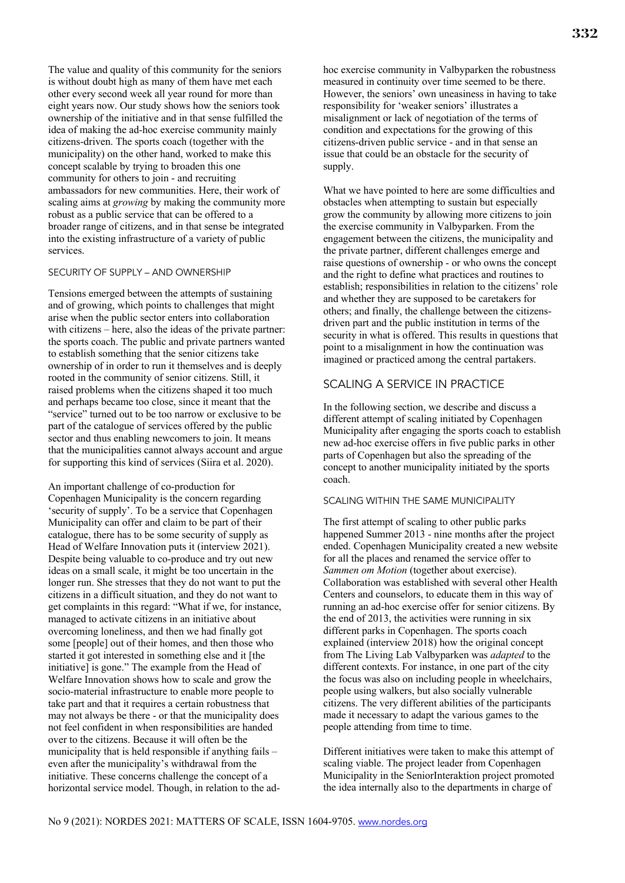The value and quality of this community for the seniors is without doubt high as many of them have met each other every second week all year round for more than eight years now. Our study shows how the seniors took ownership of the initiative and in that sense fulfilled the idea of making the ad-hoc exercise community mainly citizens-driven. The sports coach (together with the municipality) on the other hand, worked to make this concept scalable by trying to broaden this one community for others to join - and recruiting ambassadors for new communities. Here, their work of scaling aims at *growing* by making the community more robust as a public service that can be offered to a broader range of citizens, and in that sense be integrated into the existing infrastructure of a variety of public services.

#### SECURITY OF SUPPLY – AND OWNERSHIP

Tensions emerged between the attempts of sustaining and of growing, which points to challenges that might arise when the public sector enters into collaboration with citizens – here, also the ideas of the private partner: the sports coach. The public and private partners wanted to establish something that the senior citizens take ownership of in order to run it themselves and is deeply rooted in the community of senior citizens. Still, it raised problems when the citizens shaped it too much and perhaps became too close, since it meant that the "service" turned out to be too narrow or exclusive to be part of the catalogue of services offered by the public sector and thus enabling newcomers to join. It means that the municipalities cannot always account and argue for supporting this kind of services (Siira et al. 2020).

An important challenge of co-production for Copenhagen Municipality is the concern regarding 'security of supply'. To be a service that Copenhagen Municipality can offer and claim to be part of their catalogue, there has to be some security of supply as Head of Welfare Innovation puts it (interview 2021). Despite being valuable to co-produce and try out new ideas on a small scale, it might be too uncertain in the longer run. She stresses that they do not want to put the citizens in a difficult situation, and they do not want to get complaints in this regard: "What if we, for instance, managed to activate citizens in an initiative about overcoming loneliness, and then we had finally got some [people] out of their homes, and then those who started it got interested in something else and it [the initiative] is gone." The example from the Head of Welfare Innovation shows how to scale and grow the socio-material infrastructure to enable more people to take part and that it requires a certain robustness that may not always be there - or that the municipality does not feel confident in when responsibilities are handed over to the citizens. Because it will often be the municipality that is held responsible if anything fails – even after the municipality's withdrawal from the initiative. These concerns challenge the concept of a horizontal service model. Though, in relation to the adhoc exercise community in Valbyparken the robustness measured in continuity over time seemed to be there. However, the seniors' own uneasiness in having to take responsibility for 'weaker seniors' illustrates a misalignment or lack of negotiation of the terms of condition and expectations for the growing of this citizens-driven public service - and in that sense an issue that could be an obstacle for the security of supply.

What we have pointed to here are some difficulties and obstacles when attempting to sustain but especially grow the community by allowing more citizens to join the exercise community in Valbyparken. From the engagement between the citizens, the municipality and the private partner, different challenges emerge and raise questions of ownership - or who owns the concept and the right to define what practices and routines to establish; responsibilities in relation to the citizens' role and whether they are supposed to be caretakers for others; and finally, the challenge between the citizensdriven part and the public institution in terms of the security in what is offered. This results in questions that point to a misalignment in how the continuation was imagined or practiced among the central partakers.

## SCALING A SERVICE IN PRACTICE

In the following section, we describe and discuss a different attempt of scaling initiated by Copenhagen Municipality after engaging the sports coach to establish new ad-hoc exercise offers in five public parks in other parts of Copenhagen but also the spreading of the concept to another municipality initiated by the sports coach.

### SCALING WITHIN THE SAME MUNICIPALITY

The first attempt of scaling to other public parks happened Summer 2013 - nine months after the project ended. Copenhagen Municipality created a new website for all the places and renamed the service offer to *Sammen om Motion* (together about exercise). Collaboration was established with several other Health Centers and counselors, to educate them in this way of running an ad-hoc exercise offer for senior citizens. By the end of 2013, the activities were running in six different parks in Copenhagen. The sports coach explained (interview 2018) how the original concept from The Living Lab Valbyparken was *adapted* to the different contexts. For instance, in one part of the city the focus was also on including people in wheelchairs, people using walkers, but also socially vulnerable citizens. The very different abilities of the participants made it necessary to adapt the various games to the people attending from time to time.

Different initiatives were taken to make this attempt of scaling viable. The project leader from Copenhagen Municipality in the SeniorInteraktion project promoted the idea internally also to the departments in charge of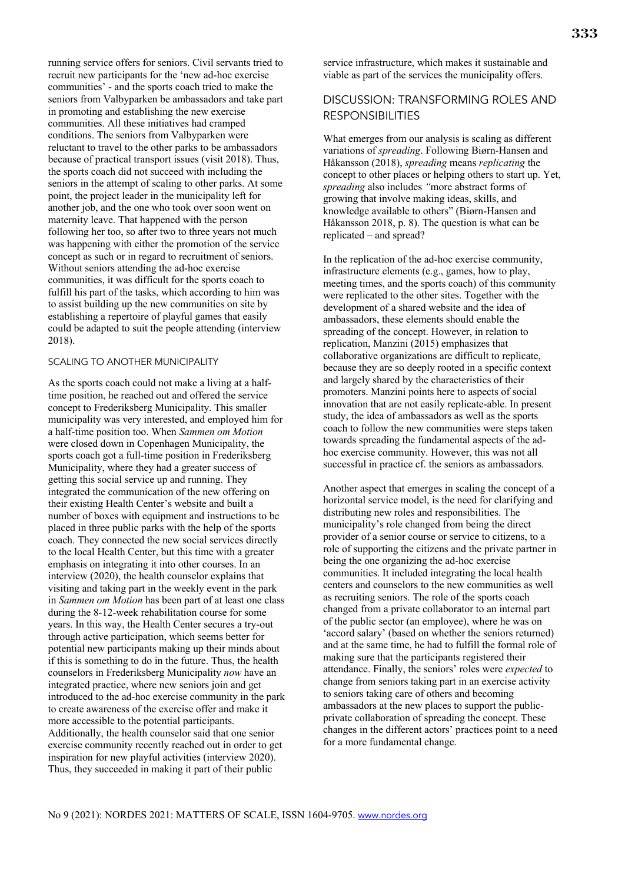running service offers for seniors. Civil servants tried to recruit new participants for the 'new ad-hoc exercise communities' - and the sports coach tried to make the seniors from Valbyparken be ambassadors and take part in promoting and establishing the new exercise communities. All these initiatives had cramped conditions. The seniors from Valbyparken were reluctant to travel to the other parks to be ambassadors because of practical transport issues (visit 2018). Thus, the sports coach did not succeed with including the seniors in the attempt of scaling to other parks. At some point, the project leader in the municipality left for another job, and the one who took over soon went on maternity leave. That happened with the person following her too, so after two to three years not much was happening with either the promotion of the service concept as such or in regard to recruitment of seniors. Without seniors attending the ad-hoc exercise communities, it was difficult for the sports coach to fulfill his part of the tasks, which according to him was to assist building up the new communities on site by establishing a repertoire of playful games that easily could be adapted to suit the people attending (interview 2018).

#### SCALING TO ANOTHER MUNICIPALITY

As the sports coach could not make a living at a halftime position, he reached out and offered the service concept to Frederiksberg Municipality. This smaller municipality was very interested, and employed him for a half-time position too. When *Sammen om Motion*  were closed down in Copenhagen Municipality, the sports coach got a full-time position in Frederiksberg Municipality, where they had a greater success of getting this social service up and running. They integrated the communication of the new offering on their existing Health Center's website and built a number of boxes with equipment and instructions to be placed in three public parks with the help of the sports coach. They connected the new social services directly to the local Health Center, but this time with a greater emphasis on integrating it into other courses. In an interview (2020), the health counselor explains that visiting and taking part in the weekly event in the park in *Sammen om Motion* has been part of at least one class during the 8-12-week rehabilitation course for some years. In this way, the Health Center secures a try-out through active participation, which seems better for potential new participants making up their minds about if this is something to do in the future. Thus, the health counselors in Frederiksberg Municipality *now* have an integrated practice, where new seniors join and get introduced to the ad-hoc exercise community in the park to create awareness of the exercise offer and make it more accessible to the potential participants. Additionally, the health counselor said that one senior exercise community recently reached out in order to get inspiration for new playful activities (interview 2020). Thus, they succeeded in making it part of their public

service infrastructure, which makes it sustainable and viable as part of the services the municipality offers.

## DISCUSSION: TRANSFORMING ROLES AND RESPONSIBILITIES

What emerges from our analysis is scaling as different variations of *spreading*. Following Biørn-Hansen and Håkansson (2018), *spreading* means *replicating* the concept to other places or helping others to start up. Yet, *spreading* also includes *"*more abstract forms of growing that involve making ideas, skills, and knowledge available to others" (Biørn-Hansen and Håkansson 2018, p. 8). The question is what can be replicated – and spread?

In the replication of the ad-hoc exercise community, infrastructure elements (e.g., games, how to play, meeting times, and the sports coach) of this community were replicated to the other sites. Together with the development of a shared website and the idea of ambassadors, these elements should enable the spreading of the concept. However, in relation to replication, Manzini (2015) emphasizes that collaborative organizations are difficult to replicate, because they are so deeply rooted in a specific context and largely shared by the characteristics of their promoters. Manzini points here to aspects of social innovation that are not easily replicate-able. In present study, the idea of ambassadors as well as the sports coach to follow the new communities were steps taken towards spreading the fundamental aspects of the adhoc exercise community. However, this was not all successful in practice cf. the seniors as ambassadors.

Another aspect that emerges in scaling the concept of a horizontal service model, is the need for clarifying and distributing new roles and responsibilities. The municipality's role changed from being the direct provider of a senior course or service to citizens, to a role of supporting the citizens and the private partner in being the one organizing the ad-hoc exercise communities. It included integrating the local health centers and counselors to the new communities as well as recruiting seniors. The role of the sports coach changed from a private collaborator to an internal part of the public sector (an employee), where he was on 'accord salary' (based on whether the seniors returned) and at the same time, he had to fulfill the formal role of making sure that the participants registered their attendance. Finally, the seniors' roles were *expected* to change from seniors taking part in an exercise activity to seniors taking care of others and becoming ambassadors at the new places to support the publicprivate collaboration of spreading the concept. These changes in the different actors' practices point to a need for a more fundamental change.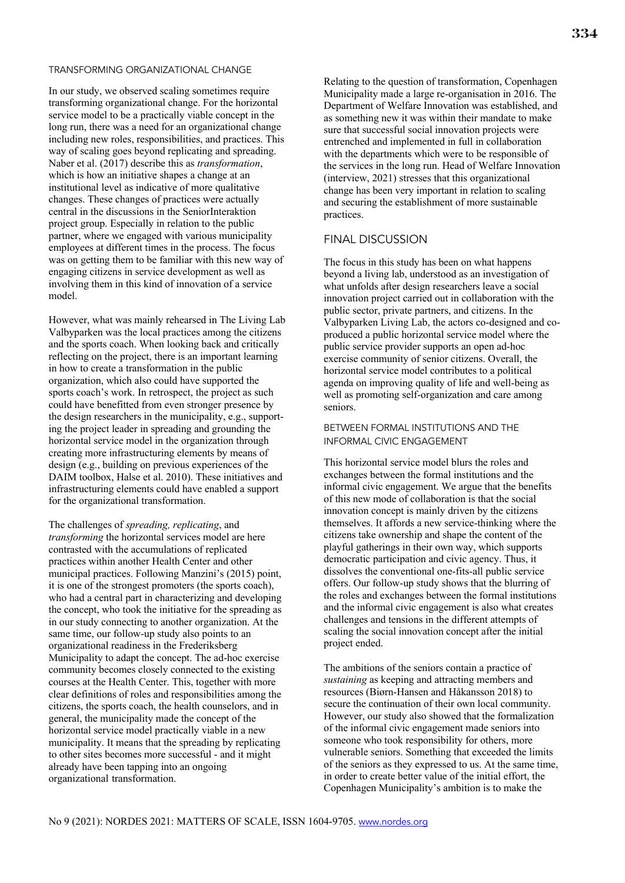#### TRANSFORMING ORGANIZATIONAL CHANGE

In our study, we observed scaling sometimes require transforming organizational change. For the horizontal service model to be a practically viable concept in the long run, there was a need for an organizational change including new roles, responsibilities, and practices. This way of scaling goes beyond replicating and spreading. Naber et al. (2017) describe this as *transformation*, which is how an initiative shapes a change at an institutional level as indicative of more qualitative changes. These changes of practices were actually central in the discussions in the SeniorInteraktion project group. Especially in relation to the public partner, where we engaged with various municipality employees at different times in the process. The focus was on getting them to be familiar with this new way of engaging citizens in service development as well as involving them in this kind of innovation of a service model.

However, what was mainly rehearsed in The Living Lab Valbyparken was the local practices among the citizens and the sports coach. When looking back and critically reflecting on the project, there is an important learning in how to create a transformation in the public organization, which also could have supported the sports coach's work. In retrospect, the project as such could have benefitted from even stronger presence by the design researchers in the municipality, e.g., supporting the project leader in spreading and grounding the horizontal service model in the organization through creating more infrastructuring elements by means of design (e.g., building on previous experiences of the DAIM toolbox, Halse et al. 2010). These initiatives and infrastructuring elements could have enabled a support for the organizational transformation.

The challenges of *spreading, replicating*, and *transforming* the horizontal services model are here contrasted with the accumulations of replicated practices within another Health Center and other municipal practices. Following Manzini's (2015) point, it is one of the strongest promoters (the sports coach), who had a central part in characterizing and developing the concept, who took the initiative for the spreading as in our study connecting to another organization. At the same time, our follow-up study also points to an organizational readiness in the Frederiksberg Municipality to adapt the concept. The ad-hoc exercise community becomes closely connected to the existing courses at the Health Center. This, together with more clear definitions of roles and responsibilities among the citizens, the sports coach, the health counselors, and in general, the municipality made the concept of the horizontal service model practically viable in a new municipality. It means that the spreading by replicating to other sites becomes more successful - and it might already have been tapping into an ongoing organizational transformation.

Relating to the question of transformation, Copenhagen Municipality made a large re-organisation in 2016. The Department of Welfare Innovation was established, and as something new it was within their mandate to make sure that successful social innovation projects were entrenched and implemented in full in collaboration with the departments which were to be responsible of the services in the long run. Head of Welfare Innovation (interview, 2021) stresses that this organizational change has been very important in relation to scaling and securing the establishment of more sustainable practices.

## FINAL DISCUSSION

The focus in this study has been on what happens beyond a living lab, understood as an investigation of what unfolds after design researchers leave a social innovation project carried out in collaboration with the public sector, private partners, and citizens. In the Valbyparken Living Lab, the actors co-designed and coproduced a public horizontal service model where the public service provider supports an open ad-hoc exercise community of senior citizens. Overall, the horizontal service model contributes to a political agenda on improving quality of life and well-being as well as promoting self-organization and care among seniors.

### BETWEEN FORMAL INSTITUTIONS AND THE INFORMAL CIVIC ENGAGEMENT

This horizontal service model blurs the roles and exchanges between the formal institutions and the informal civic engagement. We argue that the benefits of this new mode of collaboration is that the social innovation concept is mainly driven by the citizens themselves. It affords a new service-thinking where the citizens take ownership and shape the content of the playful gatherings in their own way, which supports democratic participation and civic agency. Thus, it dissolves the conventional one-fits-all public service offers. Our follow-up study shows that the blurring of the roles and exchanges between the formal institutions and the informal civic engagement is also what creates challenges and tensions in the different attempts of scaling the social innovation concept after the initial project ended.

The ambitions of the seniors contain a practice of *sustaining* as keeping and attracting members and resources (Biørn-Hansen and Håkansson 2018) to secure the continuation of their own local community. However, our study also showed that the formalization of the informal civic engagement made seniors into someone who took responsibility for others, more vulnerable seniors. Something that exceeded the limits of the seniors as they expressed to us. At the same time, in order to create better value of the initial effort, the Copenhagen Municipality's ambition is to make the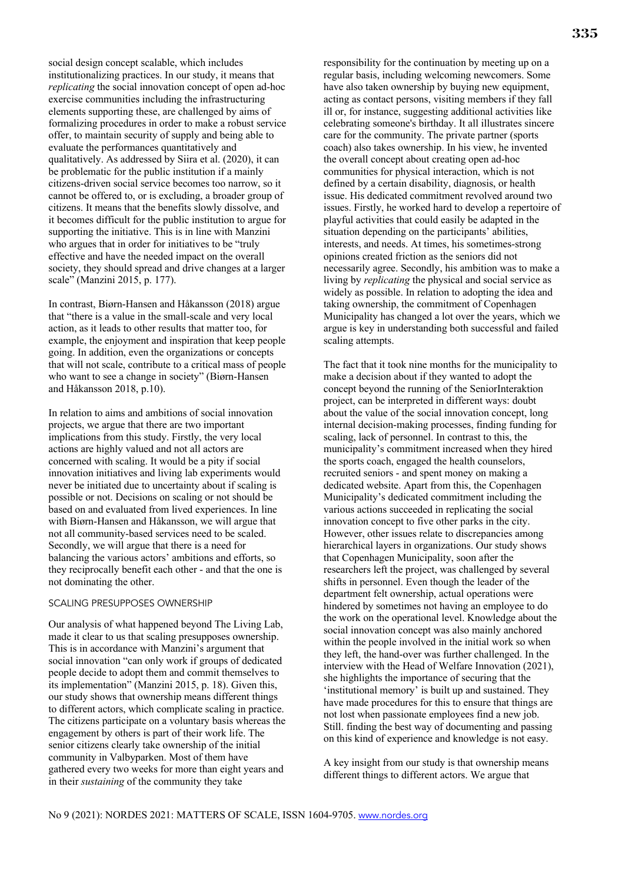social design concept scalable, which includes institutionalizing practices. In our study, it means that *replicating* the social innovation concept of open ad-hoc exercise communities including the infrastructuring elements supporting these, are challenged by aims of formalizing procedures in order to make a robust service offer, to maintain security of supply and being able to evaluate the performances quantitatively and qualitatively. As addressed by Siira et al. (2020), it can be problematic for the public institution if a mainly citizens-driven social service becomes too narrow, so it cannot be offered to, or is excluding, a broader group of citizens. It means that the benefits slowly dissolve, and it becomes difficult for the public institution to argue for supporting the initiative. This is in line with Manzini who argues that in order for initiatives to be "truly effective and have the needed impact on the overall society, they should spread and drive changes at a larger scale" (Manzini 2015, p. 177).

In contrast, Biørn-Hansen and Håkansson (2018) argue that "there is a value in the small-scale and very local action, as it leads to other results that matter too, for example, the enjoyment and inspiration that keep people going. In addition, even the organizations or concepts that will not scale, contribute to a critical mass of people who want to see a change in society" (Biørn-Hansen and Håkansson 2018, p.10).

In relation to aims and ambitions of social innovation projects, we argue that there are two important implications from this study. Firstly, the very local actions are highly valued and not all actors are concerned with scaling. It would be a pity if social innovation initiatives and living lab experiments would never be initiated due to uncertainty about if scaling is possible or not. Decisions on scaling or not should be based on and evaluated from lived experiences. In line with Biørn-Hansen and Håkansson, we will argue that not all community-based services need to be scaled. Secondly, we will argue that there is a need for balancing the various actors' ambitions and efforts, so they reciprocally benefit each other - and that the one is not dominating the other.

#### SCALING PRESUPPOSES OWNERSHIP

Our analysis of what happened beyond The Living Lab, made it clear to us that scaling presupposes ownership. This is in accordance with Manzini's argument that social innovation "can only work if groups of dedicated people decide to adopt them and commit themselves to its implementation" (Manzini 2015, p. 18). Given this, our study shows that ownership means different things to different actors, which complicate scaling in practice. The citizens participate on a voluntary basis whereas the engagement by others is part of their work life. The senior citizens clearly take ownership of the initial community in Valbyparken. Most of them have gathered every two weeks for more than eight years and in their *sustaining* of the community they take

responsibility for the continuation by meeting up on a regular basis, including welcoming newcomers. Some have also taken ownership by buying new equipment, acting as contact persons, visiting members if they fall ill or, for instance, suggesting additional activities like celebrating someone's birthday. It all illustrates sincere care for the community. The private partner (sports coach) also takes ownership. In his view, he invented the overall concept about creating open ad-hoc communities for physical interaction, which is not defined by a certain disability, diagnosis, or health issue. His dedicated commitment revolved around two issues. Firstly, he worked hard to develop a repertoire of playful activities that could easily be adapted in the situation depending on the participants' abilities, interests, and needs. At times, his sometimes-strong opinions created friction as the seniors did not necessarily agree. Secondly, his ambition was to make a living by *replicating* the physical and social service as widely as possible. In relation to adopting the idea and taking ownership, the commitment of Copenhagen Municipality has changed a lot over the years, which we argue is key in understanding both successful and failed scaling attempts.

The fact that it took nine months for the municipality to make a decision about if they wanted to adopt the concept beyond the running of the SeniorInteraktion project, can be interpreted in different ways: doubt about the value of the social innovation concept, long internal decision-making processes, finding funding for scaling, lack of personnel. In contrast to this, the municipality's commitment increased when they hired the sports coach, engaged the health counselors, recruited seniors - and spent money on making a dedicated website. Apart from this, the Copenhagen Municipality's dedicated commitment including the various actions succeeded in replicating the social innovation concept to five other parks in the city. However, other issues relate to discrepancies among hierarchical layers in organizations. Our study shows that Copenhagen Municipality, soon after the researchers left the project, was challenged by several shifts in personnel. Even though the leader of the department felt ownership, actual operations were hindered by sometimes not having an employee to do the work on the operational level. Knowledge about the social innovation concept was also mainly anchored within the people involved in the initial work so when they left, the hand-over was further challenged. In the interview with the Head of Welfare Innovation (2021), she highlights the importance of securing that the 'institutional memory' is built up and sustained. They have made procedures for this to ensure that things are not lost when passionate employees find a new job. Still. finding the best way of documenting and passing on this kind of experience and knowledge is not easy.

A key insight from our study is that ownership means different things to different actors. We argue that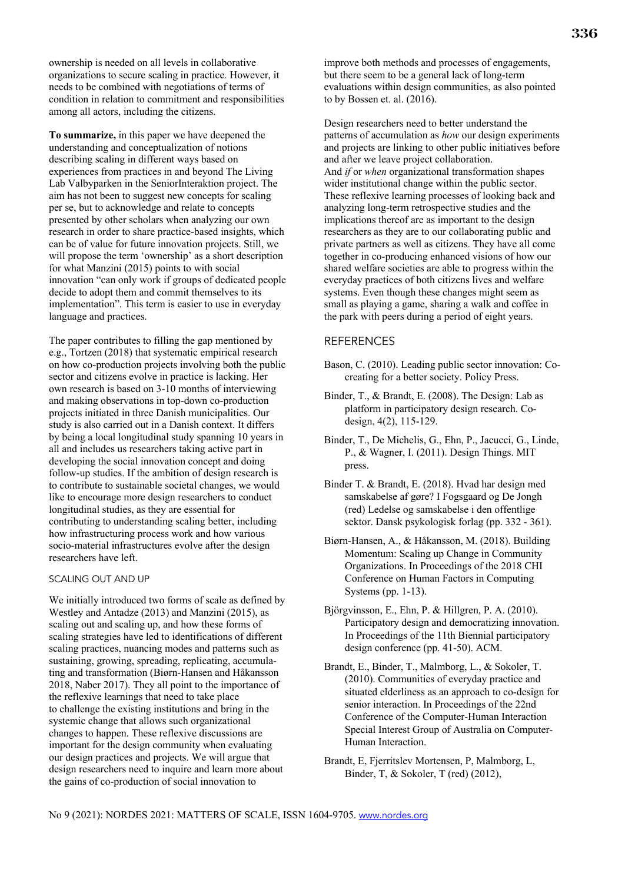ownership is needed on all levels in collaborative organizations to secure scaling in practice. However, it needs to be combined with negotiations of terms of condition in relation to commitment and responsibilities among all actors, including the citizens.

**To summarize,** in this paper we have deepened the understanding and conceptualization of notions describing scaling in different ways based on experiences from practices in and beyond The Living Lab Valbyparken in the SeniorInteraktion project. The aim has not been to suggest new concepts for scaling per se, but to acknowledge and relate to concepts presented by other scholars when analyzing our own research in order to share practice-based insights, which can be of value for future innovation projects. Still, we will propose the term 'ownership' as a short description for what Manzini (2015) points to with social innovation "can only work if groups of dedicated people decide to adopt them and commit themselves to its implementation". This term is easier to use in everyday language and practices.

The paper contributes to filling the gap mentioned by e.g., Tortzen (2018) that systematic empirical research on how co-production projects involving both the public sector and citizens evolve in practice is lacking. Her own research is based on 3-10 months of interviewing and making observations in top-down co-production projects initiated in three Danish municipalities. Our study is also carried out in a Danish context. It differs by being a local longitudinal study spanning 10 years in all and includes us researchers taking active part in developing the social innovation concept and doing follow-up studies. If the ambition of design research is to contribute to sustainable societal changes, we would like to encourage more design researchers to conduct longitudinal studies, as they are essential for contributing to understanding scaling better, including how infrastructuring process work and how various socio-material infrastructures evolve after the design researchers have left.

## SCALING OUT AND UP

We initially introduced two forms of scale as defined by Westley and Antadze (2013) and Manzini (2015), as scaling out and scaling up, and how these forms of scaling strategies have led to identifications of different scaling practices, nuancing modes and patterns such as sustaining, growing, spreading, replicating, accumulating and transformation (Biørn-Hansen and Håkansson 2018, Naber 2017). They all point to the importance of the reflexive learnings that need to take place to challenge the existing institutions and bring in the systemic change that allows such organizational changes to happen. These reflexive discussions are important for the design community when evaluating our design practices and projects. We will argue that design researchers need to inquire and learn more about the gains of co-production of social innovation to

improve both methods and processes of engagements, but there seem to be a general lack of long-term evaluations within design communities, as also pointed to by Bossen et. al. (2016).

Design researchers need to better understand the patterns of accumulation as *how* our design experiments and projects are linking to other public initiatives before and after we leave project collaboration. And *if* or *when* organizational transformation shapes wider institutional change within the public sector. These reflexive learning processes of looking back and analyzing long-term retrospective studies and the implications thereof are as important to the design researchers as they are to our collaborating public and private partners as well as citizens. They have all come together in co-producing enhanced visions of how our shared welfare societies are able to progress within the everyday practices of both citizens lives and welfare systems. Even though these changes might seem as small as playing a game, sharing a walk and coffee in the park with peers during a period of eight years.

### REFERENCES

- Bason, C. (2010). Leading public sector innovation: Cocreating for a better society. Policy Press.
- Binder, T., & Brandt, E. (2008). The Design: Lab as platform in participatory design research. Codesign, 4(2), 115-129.
- Binder, T., De Michelis, G., Ehn, P., Jacucci, G., Linde, P., & Wagner, I. (2011). Design Things. MIT press.
- Binder T. & Brandt, E. (2018). Hvad har design med samskabelse af gøre? I Fogsgaard og De Jongh (red) Ledelse og samskabelse i den offentlige sektor. Dansk psykologisk forlag (pp. 332 - 361).
- Biørn-Hansen, A., & Håkansson, M. (2018). Building Momentum: Scaling up Change in Community Organizations. In Proceedings of the 2018 CHI Conference on Human Factors in Computing Systems (pp. 1-13).
- Björgvinsson, E., Ehn, P. & Hillgren, P. A. (2010). Participatory design and democratizing innovation. In Proceedings of the 11th Biennial participatory design conference (pp. 41-50). ACM.
- Brandt, E., Binder, T., Malmborg, L., & Sokoler, T. (2010). Communities of everyday practice and situated elderliness as an approach to co-design for senior interaction. In Proceedings of the 22nd Conference of the Computer-Human Interaction Special Interest Group of Australia on Computer-Human Interaction.
- Brandt, E, Fjerritslev Mortensen, P, Malmborg, L, Binder, T, & Sokoler, T (red) (2012),